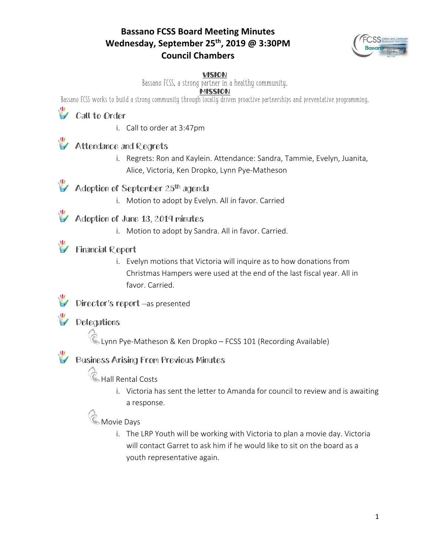### **Bassano FCSS Board Meeting Minutes Wednesday, September 25th, 2019 @ 3:30PM Council Chambers**



#### VISION

Bassano FCSS, a strong partner in a healthy community.

#### **MISSION**

Bassano FCSS works to build a strong community through locally driven proactive partnerships and preventative programming.

# Call to Order

i. Call to order at 3:47pm

### **Attendance and Regrets**

i. Regrets: Ron and Kaylein. Attendance: Sandra, Tammie, Evelyn, Juanita, Alice, Victoria, Ken Dropko, Lynn Pye-Matheson

## Adoption of September 25<sup>th</sup> agenda

i. Motion to adopt by Evelyn. All in favor. Carried

### Adoption of June 13, 2019 minutes

i. Motion to adopt by Sandra. All in favor. Carried.

### **Financial Report**

i. Evelyn motions that Victoria will inquire as to how donations from Christmas Hampers were used at the end of the last fiscal year. All in favor. Carried.

#### Director's report –as presented

## **W** Delegations

Lynn Pye-Matheson & Ken Dropko – FCSS 101 (Recording Available)

## Business Arising From Previous Minutes

## **Contain Rental Costs**

i. Victoria has sent the letter to Amanda for council to review and is awaiting a response.

### **&** Movie Days

i. The LRP Youth will be working with Victoria to plan a movie day. Victoria will contact Garret to ask him if he would like to sit on the board as a youth representative again.